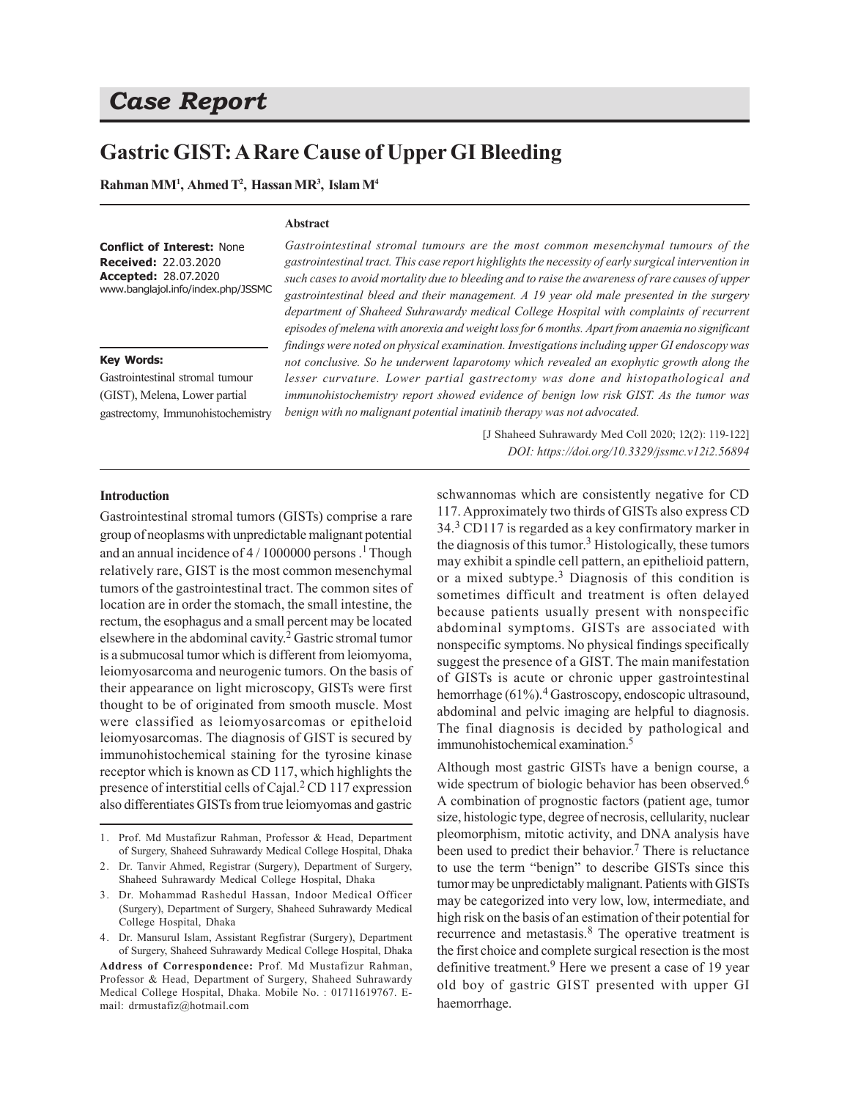# *Case Report*

## **Gastric GIST: A Rare Cause of Upper GI Bleeding**

**Abstract**

**Rahman MM<sup>1</sup> , Ahmed T 2 , Hassan MR<sup>3</sup> , Islam M<sup>4</sup>**

#### **Conflict of Interest:** None **Received:** 22.03.2020 **Accepted:** 28.07.2020 www.banglajol.info/index.php/JSSMC

#### **Key Words:**

Gastrointestinal stromal tumour (GIST), Melena, Lower partial gastrectomy, Immunohistochemistry

*Gastrointestinal stromal tumours are the most common mesenchymal tumours of the gastrointestinal tract. This case report highlights the necessity of early surgical intervention in such cases to avoid mortality due to bleeding and to raise the awareness of rare causes of upper gastrointestinal bleed and their management. A 19 year old male presented in the surgery department of Shaheed Suhrawardy medical College Hospital with complaints of recurrent episodes of melena with anorexia and weight loss for 6 months. Apart from anaemia no significant findings were noted on physical examination. Investigations including upper GI endoscopy was not conclusive. So he underwent laparotomy which revealed an exophytic growth along the lesser curvature. Lower partial gastrectomy was done and histopathological and immunohistochemistry report showed evidence of benign low risk GIST. As the tumor was benign with no malignant potential imatinib therapy was not advocated.*

> [J Shaheed Suhrawardy Med Coll 2020; 12(2): 119-122] *DOI: https://doi.org/10.3329/jssmc.v12i2.56894*

#### **Introduction**

Gastrointestinal stromal tumors (GISTs) comprise a rare group of neoplasms with unpredictable malignant potential and an annual incidence of  $4/1000000$  persons .<sup>1</sup> Though relatively rare, GIST is the most common mesenchymal tumors of the gastrointestinal tract. The common sites of location are in order the stomach, the small intestine, the rectum, the esophagus and a small percent may be located elsewhere in the abdominal cavity. 2 Gastric stromal tumor is a submucosal tumor which is different from leiomyoma, leiomyosarcoma and neurogenic tumors. On the basis of their appearance on light microscopy, GISTs were first thought to be of originated from smooth muscle. Most were classified as leiomyosarcomas or epitheloid leiomyosarcomas. The diagnosis of GIST is secured by immunohistochemical staining for the tyrosine kinase receptor which is known as CD 117, which highlights the presence of interstitial cells of Cajal.<sup>2</sup> CD 117 expression also differentiates GISTs from true leiomyomas and gastric

- 3. Dr. Mohammad Rashedul Hassan, Indoor Medical Officer (Surgery), Department of Surgery, Shaheed Suhrawardy Medical College Hospital, Dhaka
- 4. Dr. Mansurul Islam, Assistant Regfistrar (Surgery), Department of Surgery, Shaheed Suhrawardy Medical College Hospital, Dhaka

**Address of Correspondence:** Prof. Md Mustafizur Rahman, Professor & Head, Department of Surgery, Shaheed Suhrawardy Medical College Hospital, Dhaka. Mobile No. : 01711619767. Email: drmustafiz@hotmail.com

schwannomas which are consistently negative for CD 117. Approximately two thirds of GISTs also express CD 34.<sup>3</sup> CD117 is regarded as a key confirmatory marker in the diagnosis of this tumor.<sup>3</sup> Histologically, these tumors may exhibit a spindle cell pattern, an epithelioid pattern, or a mixed subtype.<sup>3</sup> Diagnosis of this condition is sometimes difficult and treatment is often delayed because patients usually present with nonspecific abdominal symptoms. GISTs are associated with nonspecific symptoms. No physical findings specifically suggest the presence of a GIST. The main manifestation of GISTs is acute or chronic upper gastrointestinal hemorrhage (61%).<sup>4</sup> Gastroscopy, endoscopic ultrasound, abdominal and pelvic imaging are helpful to diagnosis. The final diagnosis is decided by pathological and immunohistochemical examination.<sup>5</sup>

Although most gastric GISTs have a benign course, a wide spectrum of biologic behavior has been observed.<sup>6</sup> A combination of prognostic factors (patient age, tumor size, histologic type, degree of necrosis, cellularity, nuclear pleomorphism, mitotic activity, and DNA analysis have been used to predict their behavior.<sup>7</sup> There is reluctance to use the term "benign" to describe GISTs since this tumor may be unpredictably malignant. Patients with GISTs may be categorized into very low, low, intermediate, and high risk on the basis of an estimation of their potential for recurrence and metastasis.<sup>8</sup> The operative treatment is the first choice and complete surgical resection is the most definitive treatment.<sup>9</sup> Here we present a case of 19 year old boy of gastric GIST presented with upper GI haemorrhage.

<sup>1.</sup> Prof. Md Mustafizur Rahman, Professor & Head, Department of Surgery, Shaheed Suhrawardy Medical College Hospital, Dhaka

<sup>2.</sup> Dr. Tanvir Ahmed, Registrar (Surgery), Department of Surgery, Shaheed Suhrawardy Medical College Hospital, Dhaka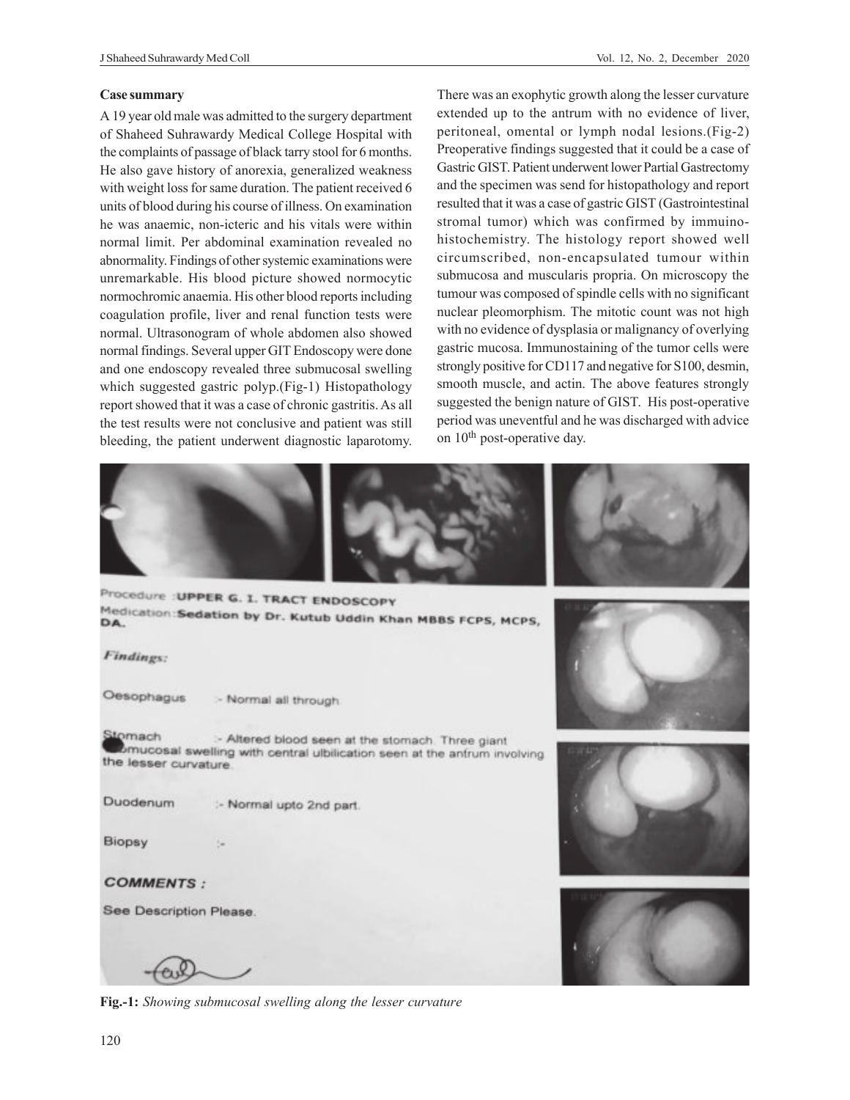#### **Case summary**

A 19 year old male was admitted to the surgery department of Shaheed Suhrawardy Medical College Hospital with the complaints of passage of black tarry stool for 6 months. He also gave history of anorexia, generalized weakness with weight loss for same duration. The patient received 6 units of blood during his course of illness. On examination he was anaemic, non-icteric and his vitals were within normal limit. Per abdominal examination revealed no abnormality. Findings of other systemic examinations were unremarkable. His blood picture showed normocytic normochromic anaemia. His other blood reports including coagulation profile, liver and renal function tests were normal. Ultrasonogram of whole abdomen also showed normal findings. Several upper GIT Endoscopy were done and one endoscopy revealed three submucosal swelling which suggested gastric polyp.(Fig-1) Histopathology report showed that it was a case of chronic gastritis. As all the test results were not conclusive and patient was still bleeding, the patient underwent diagnostic laparotomy. There was an exophytic growth along the lesser curvature extended up to the antrum with no evidence of liver, peritoneal, omental or lymph nodal lesions.(Fig-2) Preoperative findings suggested that it could be a case of Gastric GIST. Patient underwent lower Partial Gastrectomy and the specimen was send for histopathology and report resulted that it was a case of gastric GIST (Gastrointestinal stromal tumor) which was confirmed by immuinohistochemistry. The histology report showed well circumscribed, non-encapsulated tumour within submucosa and muscularis propria. On microscopy the tumour was composed of spindle cells with no significant nuclear pleomorphism. The mitotic count was not high with no evidence of dysplasia or malignancy of overlying gastric mucosa. Immunostaining of the tumor cells were strongly positive for CD117 and negative for S100, desmin, smooth muscle, and actin. The above features strongly suggested the benign nature of GIST. His post-operative period was uneventful and he was discharged with advice on 10<sup>th</sup> post-operative day.



**Fig.-1:** *Showing submucosal swelling along the lesser curvature*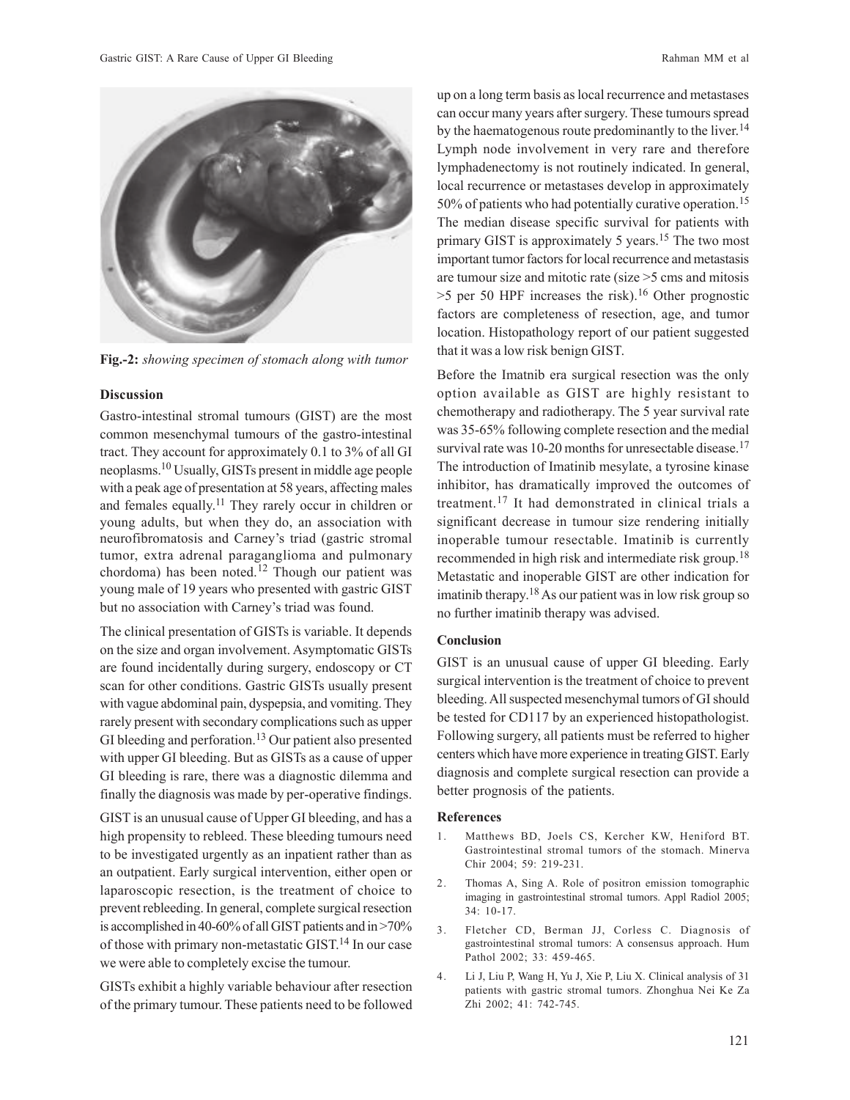

**Fig.-2:** *showing specimen of stomach along with tumor*

## **Discussion**

Gastro-intestinal stromal tumours (GIST) are the most common mesenchymal tumours of the gastro-intestinal tract. They account for approximately 0.1 to 3% of all GI neoplasms.10 Usually, GISTs present in middle age people with a peak age of presentation at 58 years, affecting males and females equally.<sup>11</sup> They rarely occur in children or young adults, but when they do, an association with neurofibromatosis and Carney's triad (gastric stromal tumor, extra adrenal paraganglioma and pulmonary chordoma) has been noted.12 Though our patient was young male of 19 years who presented with gastric GIST but no association with Carney's triad was found.

The clinical presentation of GISTs is variable. It depends on the size and organ involvement. Asymptomatic GISTs are found incidentally during surgery, endoscopy or CT scan for other conditions. Gastric GISTs usually present with vague abdominal pain, dyspepsia, and vomiting. They rarely present with secondary complications such as upper GI bleeding and perforation.<sup>13</sup> Our patient also presented with upper GI bleeding. But as GISTs as a cause of upper GI bleeding is rare, there was a diagnostic dilemma and finally the diagnosis was made by per-operative findings.

GIST is an unusual cause of Upper GI bleeding, and has a high propensity to rebleed. These bleeding tumours need to be investigated urgently as an inpatient rather than as an outpatient. Early surgical intervention, either open or laparoscopic resection, is the treatment of choice to prevent rebleeding. In general, complete surgical resection is accomplished in 40-60% of all GIST patients and in >70% of those with primary non-metastatic GIST. <sup>14</sup> In our case we were able to completely excise the tumour.

GISTs exhibit a highly variable behaviour after resection of the primary tumour. These patients need to be followed

up on a long term basis as local recurrence and metastases can occur many years after surgery. These tumours spread by the haematogenous route predominantly to the liver.<sup>14</sup> Lymph node involvement in very rare and therefore lymphadenectomy is not routinely indicated. In general, local recurrence or metastases develop in approximately 50% of patients who had potentially curative operation.<sup>15</sup> The median disease specific survival for patients with primary GIST is approximately 5 years.<sup>15</sup> The two most important tumor factors for local recurrence and metastasis are tumour size and mitotic rate (size >5 cms and mitosis  $>5$  per 50 HPF increases the risk).<sup>16</sup> Other prognostic factors are completeness of resection, age, and tumor location. Histopathology report of our patient suggested that it was a low risk benign GIST.

Before the Imatnib era surgical resection was the only option available as GIST are highly resistant to chemotherapy and radiotherapy. The 5 year survival rate was 35-65% following complete resection and the medial survival rate was 10-20 months for unresectable disease.<sup>17</sup> The introduction of Imatinib mesylate, a tyrosine kinase inhibitor, has dramatically improved the outcomes of treatment.17 It had demonstrated in clinical trials a significant decrease in tumour size rendering initially inoperable tumour resectable. Imatinib is currently recommended in high risk and intermediate risk group.<sup>18</sup> Metastatic and inoperable GIST are other indication for imatinib therapy.<sup>18</sup> As our patient was in low risk group so no further imatinib therapy was advised.

## **Conclusion**

GIST is an unusual cause of upper GI bleeding. Early surgical intervention is the treatment of choice to prevent bleeding. All suspected mesenchymal tumors of GI should be tested for CD117 by an experienced histopathologist. Following surgery, all patients must be referred to higher centers which have more experience in treating GIST. Early diagnosis and complete surgical resection can provide a better prognosis of the patients.

### **References**

- 1. Matthews BD, Joels CS, Kercher KW, Heniford BT. Gastrointestinal stromal tumors of the stomach. Minerva Chir 2004; 59: 219-231.
- 2. Thomas A, Sing A. Role of positron emission tomographic imaging in gastrointestinal stromal tumors. Appl Radiol 2005; 34: 10-17.
- 3. Fletcher CD, Berman JJ, Corless C. Diagnosis of gastrointestinal stromal tumors: A consensus approach. Hum Pathol 2002; 33: 459-465.
- 4. Li J, Liu P, Wang H, Yu J, Xie P, Liu X. Clinical analysis of 31 patients with gastric stromal tumors. Zhonghua Nei Ke Za Zhi 2002; 41: 742-745.